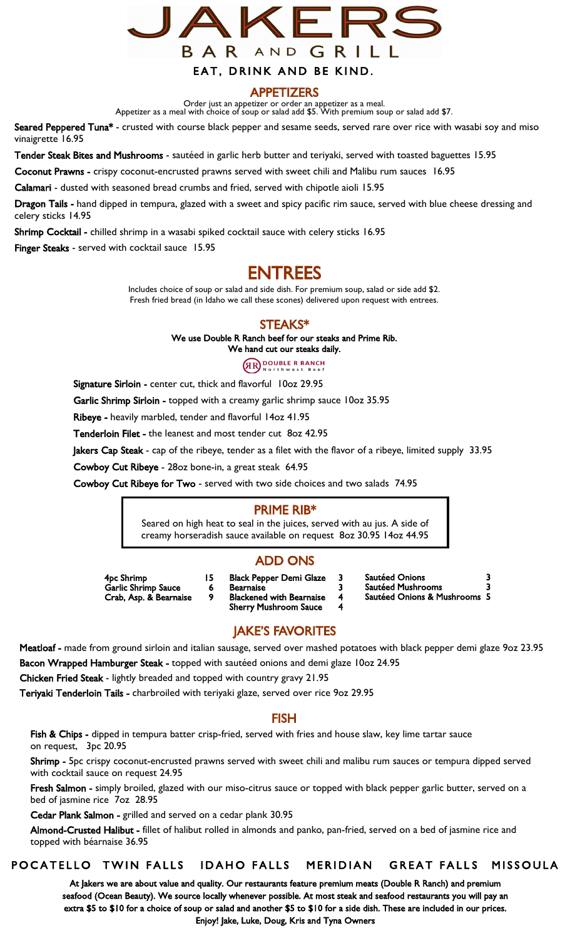

#### APPETIZERS

Order just an appetizer or order an appetizer as a meal. Appetizer as a meal with choice of soup or salad add \$5. With premium soup or salad add \$7.

Seared Peppered Tuna\* - crusted with course black pepper and sesame seeds, served rare over rice with wasabi soy and miso vinaigrette 16.95

Tender Steak Bites and Mushrooms - sautéed in garlic herb butter and teriyaki, served with toasted baguettes 15.95

Coconut Prawns - crispy coconut-encrusted prawns served with sweet chili and Malibu rum sauces 16.95

Calamari - dusted with seasoned bread crumbs and fried, served with chipotle aioli 15.95

Dragon Tails - hand dipped in tempura, glazed with a sweet and spicy pacific rim sauce, served with blue cheese dressing and celery sticks 14.95

Shrimp Cocktail - chilled shrimp in a wasabi spiked cocktail sauce with celery sticks 16.95

Finger Steaks - served with cocktail sauce 15.95

# ENTREES

Includes choice of soup or salad and side dish. For premium soup, salad or side add \$2. Fresh fried bread (in Idaho we call these scones) delivered upon request with entrees.

#### STEAKS\*

We use Double R Ranch beef for our steaks and Prime Rib.

We hand cut our steaks daily.

**GRO DOUBLE R RANCH** 

Signature Sirloin - center cut, thick and flavorful 10oz 29.95

Garlic Shrimp Sirloin - topped with a creamy garlic shrimp sauce 10oz 35.95

Ribeye - heavily marbled, tender and flavorful 14oz 41.95

Tenderloin Filet - the leanest and most tender cut 8oz 42.95

lakers Cap Steak - cap of the ribeye, tender as a filet with the flavor of a ribeye, limited supply 33.95

Cowboy Cut Ribeye - 28oz bone-in, a great steak 64.95

Cowboy Cut Ribeye for Two - served with two side choices and two salads 74.95

#### PRIME RIB\*

Seared on high heat to seal in the juices, served with au jus. A side of creamy horseradish sauce available on request 8oz 30.95 14oz 44.95

#### ADD ONS

4pc Shrimp 15 Garlic Shrimp Sauce 6 Crab, Asp. & Bearnaise

- Black Pepper Demi Glaze 3 **Bearnaise** Blackened with Bearnaise 4 Sherry Mushroom Sauce 4
- Sautéed Onions 3 Sautéed Mushrooms 3
- Sautéed Onions & Mushrooms 5

### JAKE'S FAVORITES

Meatloaf - made from ground sirloin and italian sausage, served over mashed potatoes with black pepper demi glaze 9oz 23.95 Bacon Wrapped Hamburger Steak - topped with sautéed onions and demi glaze 10oz 24.95

Chicken Fried Steak - lightly breaded and topped with country gravy 21.95

Teriyaki Tenderloin Tails - charbroiled with teriyaki glaze, served over rice 90z 29.95

#### FISH

Fish & Chips - dipped in tempura batter crisp-fried, served with fries and house slaw, key lime tartar sauce on request, 3pc 20.95

Shrimp - 5pc crispy coconut-encrusted prawns served with sweet chili and malibu rum sauces or tempura dipped served with cocktail sauce on request 24.95

Fresh Salmon - simply broiled, glazed with our miso-citrus sauce or topped with black pepper garlic butter, served on a bed of jasmine rice 7oz 28.95

Cedar Plank Salmon - grilled and served on a cedar plank 30.95

 Almond-Crusted Halibut - fillet of halibut rolled in almonds and panko, pan-fried, served on a bed of jasmine rice and topped with béarnaise 36.95

#### POCATELLO TWIN FALLS IDAHO FALLS MERIDIAN GREAT FALLS MISSOULA

At Jakers we are about value and quality. Our restaurants feature premium meats (Double R Ranch) and premium seafood (Ocean Beauty). We source locally whenever possible. At most steak and seafood restaurants you will pay an extra \$5 to \$10 for a choice of soup or salad and another \$5 to \$10 for a side dish. These are included in our prices. Enjoy! Jake, Luke, Doug, Kris and Tyna Owners